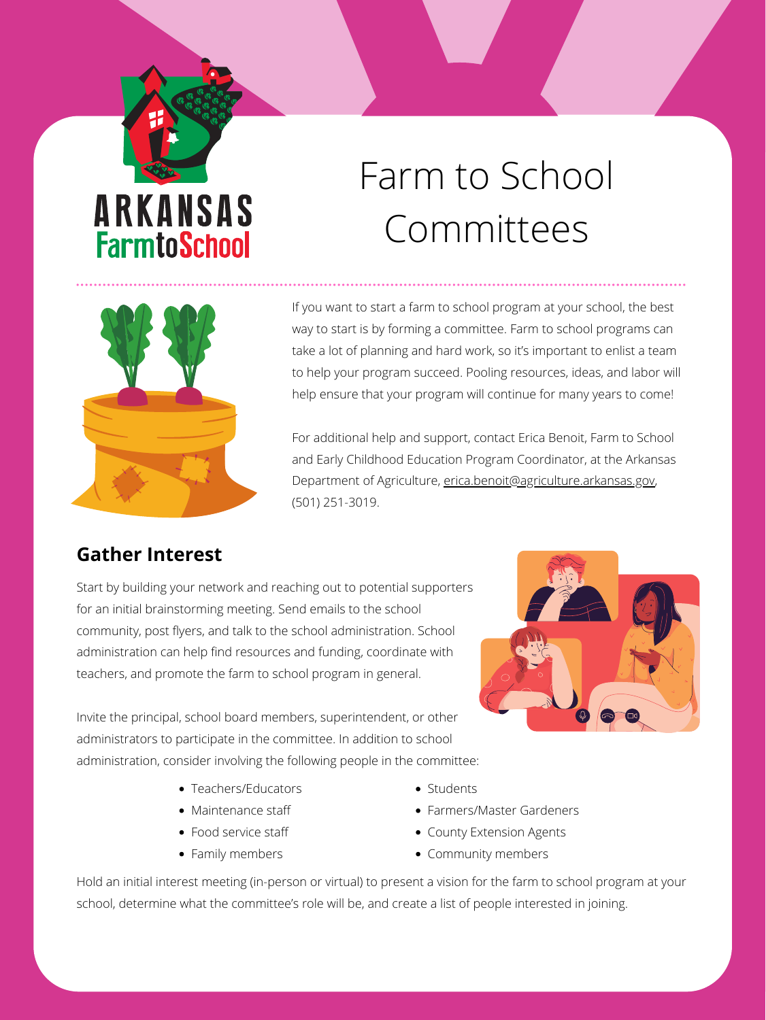## ARKANSAS **FarmtoSchool**

# Farm to School Committees



If you want to start a farm to school program at your school, the best way to start is by forming a committee. Farm to school programs can take a lot of planning and hard work, so it's important to enlist a team to help your program succeed. Pooling resources, ideas, and labor will help ensure that your program will continue for many years to come!

For additional help and support, contact Erica Benoit, Farm to School and Early Childhood Education Program Coordinator, at the Arkansas Department of Agriculture, [erica.benoit@agriculture.arkansas.gov,](mailto:erica.benoit@agriculture.arkansas.gov) (501) 251-3019.

- Teachers/Educators
- Maintenance staff
- Food service staff
- Family members
- Students
- Farmers/Master Gardeners
- County Extension Agents
- Community members

Start by building your network and reaching out to potential supporters for an initial brainstorming meeting. Send emails to the school community, post flyers, and talk to the school administration. School administration can help find resources and funding, coordinate with teachers, and promote the farm to school program in general.

Invite the principal, school board members, superintendent, or other administrators to participate in the committee. In addition to school administration, consider involving the following people in the committee:

#### **Gather Interest**

Hold an initial interest meeting (in-person or virtual) to present a vision for the farm to school program at your school, determine what the committee's role will be, and create a list of people interested in joining.

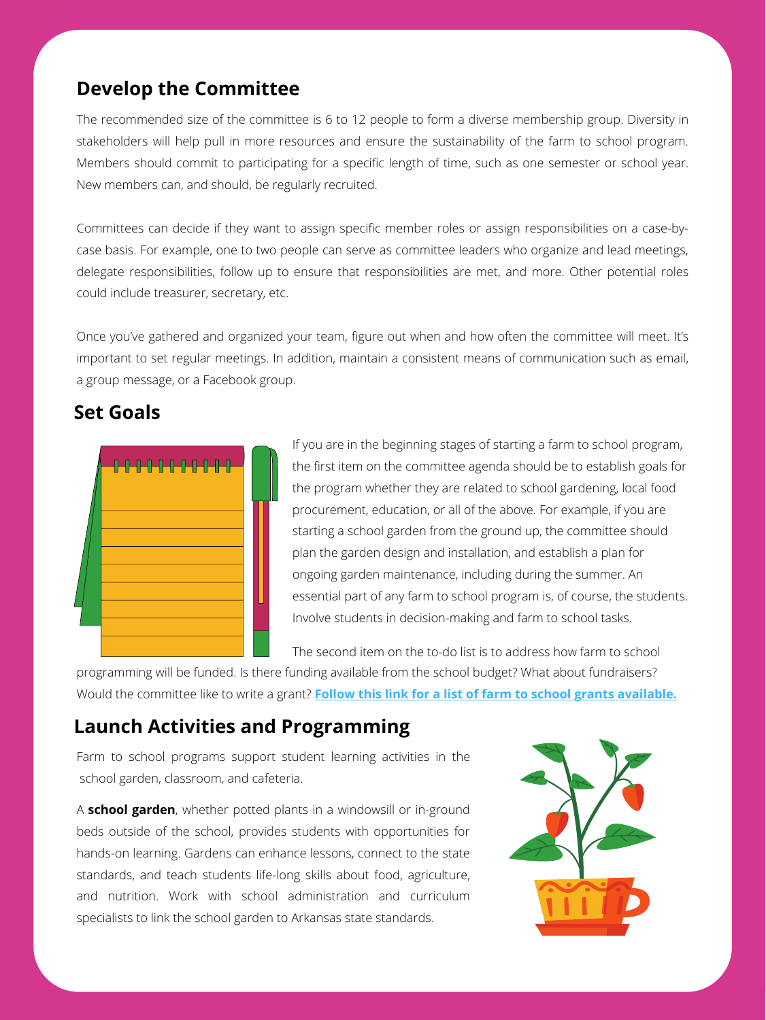The recommended size of the committee is 6 to 12 people to form a diverse membership group. Diversity in stakeholders will help pull in more resources and ensure the sustainability of the farm to school program. Members should commit to participating for a specific length of time, such as one semester or school year. New members can, and should, be regularly recruited.

Committees can decide if they want to assign specific member roles or assign responsibilities on a case-bycase basis. For example, one to two people can serve as committee leaders who organize and lead meetings, delegate responsibilities, follow up to ensure that responsibilities are met, and more. Other potential roles could include treasurer, secretary, etc.

Once you've gathered and organized your team, figure out when and how often the committee will meet. It's important to set regular meetings. In addition, maintain a consistent means of communication such as email, a group message, or a Facebook group.

> If you are in the beginning stages of starting a farm to school program, the first item on the committee agenda should be to establish goals for the program whether they are related to school gardening, local food procurement, education, or all of the above. For example, if you are starting a school garden from the ground up, the committee should plan the garden design and installation, and establish a plan for ongoing garden maintenance, including during the summer. An essential part of any farm to school program is, of course, the students. Involve students in decision-making and farm to school tasks.

#### **Develop the Committee**

#### **Set Goals**



Farm to school programs support student learning activities in the school garden, classroom, and cafeteria.

A **school garden**, whether potted plants in a windowsill or in-ground beds outside of the school, provides students with opportunities for hands-on learning. Gardens can enhance lessons, connect to the state standards, and teach students life-long skills about food, agriculture, and nutrition. Work with school administration and curriculum specialists to link the school garden to Arkansas state standards.



The second item on the to-do list is to address how farm to school programming will be funded. Is there funding available from the school budget? What about fundraisers? Would the committee like to write a grant? **[Follow this link for a list of farm to school grants available.](https://arfarmtoschool.org/getting-started/grants-and-funding/)**

#### **Launch Activities and Programming**